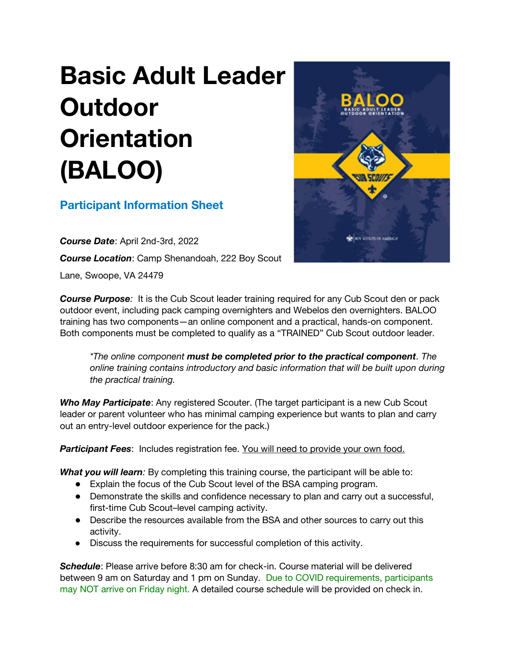## Basic Adult Leader **Outdoor Orientation** (BALOO)

## Participant Information Sheet

Course Date: April 2nd-3rd, 2022 **Course Location: Camp Shenandoah, 222 Boy Scout** Lane, Swoope, VA 24479



**Course Purpose:** It is the Cub Scout leader training required for any Cub Scout den or pack outdoor event, including pack camping overnighters and Webelos den overnighters. BALOO training has two components—an online component and a practical, hands-on component. Both components must be completed to qualify as a "TRAINED" Cub Scout outdoor leader.

\*The online component must be completed prior to the practical component. The online training contains introductory and basic information that will be built upon during the practical training.

Who May Participate: Any registered Scouter. (The target participant is a new Cub Scout leader or parent volunteer who has minimal camping experience but wants to plan and carry out an entry-level outdoor experience for the pack.)

Participant Fees: Includes registration fee. You will need to provide your own food.

What you will learn: By completing this training course, the participant will be able to:

- Explain the focus of the Cub Scout level of the BSA camping program.
- Demonstrate the skills and confidence necessary to plan and carry out a successful, first-time Cub Scout–level camping activity.
- Describe the resources available from the BSA and other sources to carry out this activity.
- Discuss the requirements for successful completion of this activity.

Schedule: Please arrive before 8:30 am for check-in. Course material will be delivered between 9 am on Saturday and 1 pm on Sunday. Due to COVID requirements, participants may NOT arrive on Friday night. A detailed course schedule will be provided on check in.